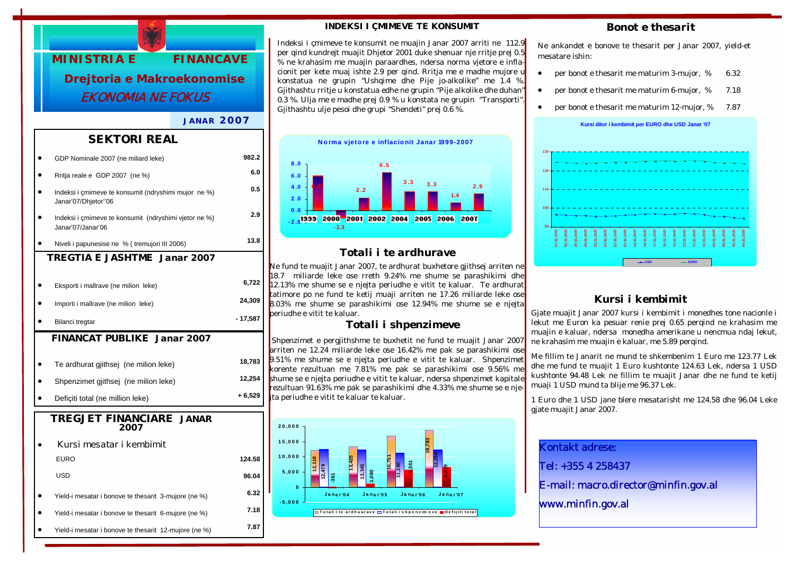

### *JANAR 2007*

### *SEKTORI REAL*

|                                    | GDP Nominale 2007 (ne miliard leke)                                         | 982.2     |  |
|------------------------------------|-----------------------------------------------------------------------------|-----------|--|
|                                    | Rritja reale e GDP 2007 (ne %)                                              | 6.0       |  |
|                                    | Indeksi i çmimeve te konsumit (ndryshimi mujor ne %)<br>Janar'07/Dhjetor"06 | 0.5       |  |
|                                    | Indeksi i çmimeve te konsumit (ndryshimi vjetor ne %)<br>Janar'07/Janar'06  | 2.9       |  |
|                                    | Niveli i papunesise ne % (tremujori III 2006)                               | 13.8      |  |
|                                    | TREGTIA E JASHTME Janar 2007                                                |           |  |
|                                    | Eksporti i mallrave (ne milion leke)                                        | 6,722     |  |
|                                    | Importi i mallrave (ne milion leke)                                         | 24,309    |  |
|                                    | Bilanci tregtar                                                             | $-17,587$ |  |
| <b>FINANCAT PUBLIKE Janar 2007</b> |                                                                             |           |  |
|                                    | Te ardhurat gjithsej (ne milion leke)                                       | 18,783    |  |
|                                    | Shpenzimet gjithsej (ne milion leke)                                        | 12,254    |  |
|                                    | Deficiti total (ne million leke)                                            | + 6,529   |  |
| TREGJET FINANCIARE JANAR<br>2007   |                                                                             |           |  |
|                                    | Kursi mesatar i kembimit                                                    |           |  |
|                                    | <b>EURO</b>                                                                 | 124.58    |  |
|                                    | USD                                                                         | 96.04     |  |
|                                    | Yield-i mesatar i bonove te thesarit 3-mujore (ne %)                        | 6.32      |  |
|                                    | Yield-i mesatar i bonove te thesarit 6-mujore (ne %)                        | 7.18      |  |
|                                    | Yield-i mesatar i bonove te thesarit 12-mujore (ne %)                       | 7.87      |  |
|                                    |                                                                             |           |  |

### *INDEKSI I ÇMIMEVE TE KONSUMIT*

Indeksi i çmimeve te konsumit ne muajin Janar 2007 arriti ne 112.9 per qind kundrejt muajit Dhjetor 2001 duke shenuar nje rritje prej 0.5 % ne krahasim me muajin paraardhes, ndersa norma vjetore e inflacionit per kete muaj ishte 2.9 per qind. Rritja me e madhe mujore u konstatua ne grupin "Ushqime dhe Pije jo-alkolike" me 1.4 % Gjithashtu rritje u konstatua edhe ne grupin "Pije alkolike dhe duhan" 0.3 %. Ulja me e madhe prej 0.9 % u konstata ne grupin "Transporti". Gjithashtu ulje pesoi dhe grupi "Shendeti" prej 0.6 %.



## *Totali i te ardhurave*

Ne fund te muajit Janar 2007, te ardhurat buxhetore gjithsej arriten ne 18.7 miliarde leke ose rreth 9.24% me shume se parashikimi dhe 12.13% me shume se e njejta periudhe e vitit te kaluar. Te ardhurat tatimore po ne fund te ketij muaji arriten ne 17.26 miliarde leke ose 8.03% me shume se parashikimi ose 12.94% me shume se e njejta periudhe e vitit te kaluar.

### *Totali i shpenzimeve*

 Shpenzimet e pergjithshme te buxhetit ne fund te muajit Janar 2007 arriten ne 12.24 miliarde leke ose 16.42% me pak se parashikimi ose 9.51% me shume se e njejta periudhe e vitit te kaluar. Shpenzimet korente rezultuan me 7.81% me pak se parashikimi ose 9.56% me shume se e njejta periudhe e vitit te kaluar, ndersa shpenzimet kapitale rezultuan 91.63% me pak se parashikimi dhe 4.33% me shume se e njeita periudhe e vitit te kaluar te kaluar.



### *Bonot e thesarit*

Ne ankandet e bonove te thesarit per Janar 2007, yield-et mesatare ishin:

- per bonot e thesarit me maturim 3-mujor, % 6.32
- per bonot e thesarit me maturim 6-mujor, % 7.18
- per bonot e thesarit me maturim 12-mujor, % 7.87



# *Kursi i kembimit*

Gjate muajit Janar 2007 kursi i kembimit i monedhes tone nacionle i lekut me Euron ka pesuar renie prej 0.65 perqind ne krahasim me muajin e kaluar, ndersa monedha amerikane u nencmua ndaj lekut, ne krahasim me muajin e kaluar, me 5.89 perqind.

Me fillim te Janarit ne mund te shkembenim 1 Euro me 123.77 Lek dhe me fund te muajit 1 Euro kushtonte 124.63 Lek, ndersa 1 USD kushtonte 94.48 Lek ne fillim te muajit Janar dhe ne fund te ketij muaji 1 USD mund ta blije me 96.37 Lek.

1 Euro dhe 1 USD jane blere mesatarisht me 124.58 dhe 96.04 Leke gjate muajit Janar 2007.

Kontakt adrese: Tel: +355 4 258437 E-mail: macro.director@minfin.gov.al www.minfin.gov.al